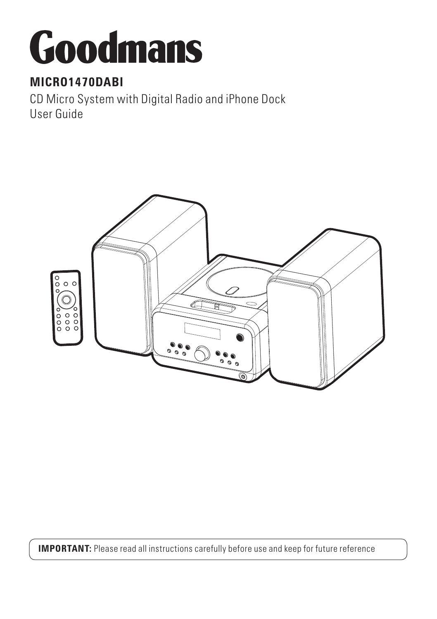# Goodmans

# **MICRO1470DABI**

CD Micro System with Digital Radio and iPhone Dock User Guide



**IMPORTANT:** Please read all instructions carefully before use and keep for future reference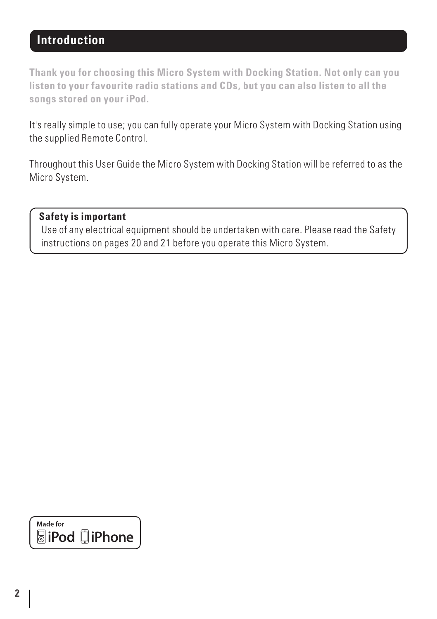# **Introduction**

**Thank you for choosing this Micro System with Docking Station. Not only can you listen to your favourite radio stations and CDs, but you can also listen to all the songs stored on your iPod.**

It's really simple to use; you can fully operate your Micro System with Docking Station using the supplied Remote Control.

Throughout this User Guide the Micro System with Docking Station will be referred to as the Micro System.

#### **Safety is important**

 Use of any electrical equipment should be undertaken with care. Please read the Safety instructions on pages 20 and 21 before you operate this Micro System.

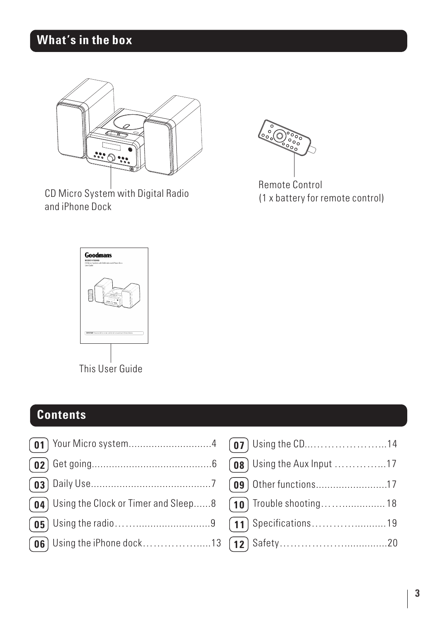# **What's in the box**



CD Micro System with Digital Radio and iPhone Dock



Remote Control (1 x battery for remote control)



# **Contents**

Your Micro system.............................4 **01** Get going..........................................6 **02** Daily Use..........................................7 **03 04** ) Using the Clock or Timer and Sleep......8 **05**) Using the radio……………………………9 **06** Using the iPhone dock...........................13

| $\boxed{07}$ Using the CD14      |  |
|----------------------------------|--|
| <b>08</b> Using the Aux Input 17 |  |
| [09] Other functions17           |  |
| [10] Trouble shooting 18         |  |
|                                  |  |
|                                  |  |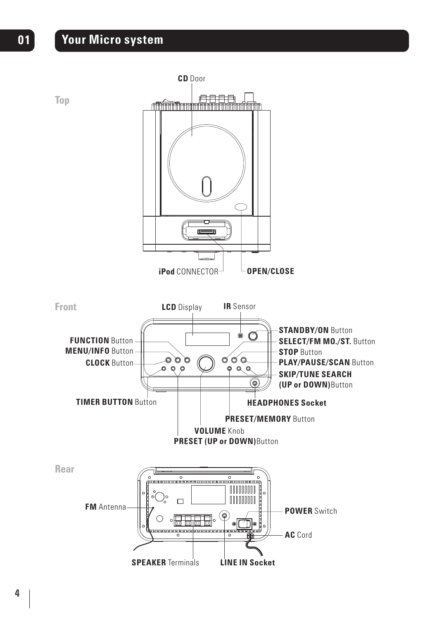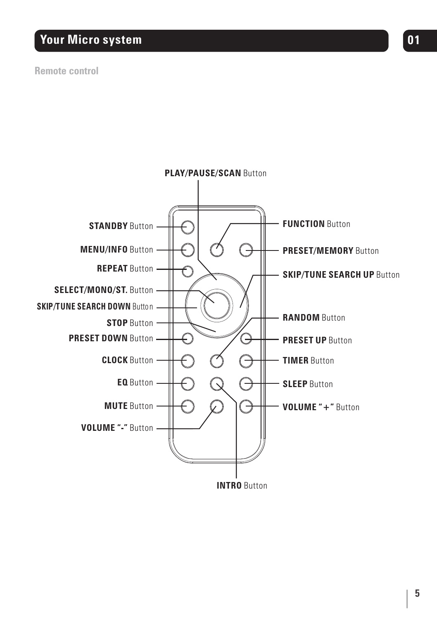# **Your Micro system and the contract of the contract of the contract of the contract of the contract of the contract of the contract of the contract of the contract of the contract of the contract of the contract of the con**

#### **Remote control**

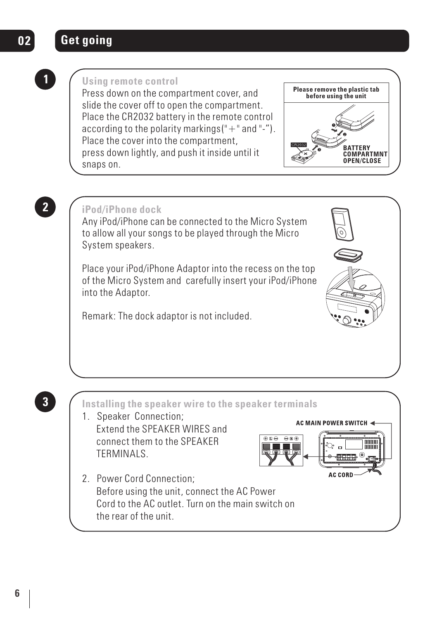# **02 Get going**

# **1**

#### **Using remote control**

Press down on the compartment cover, and slide the cover off to open the compartment. Place the CR2032 battery in the remote control according to the polarity markings  $(" + " and "-").$ Place the cover into the compartment, press down lightly, and push it inside until it snaps on.



**2**

## **iPod/iPhone dock**

Any iPod/iPhone can be connected to the Micro System to allow all your songs to be played through the Micro System speakers.

Place your iPod/iPhone Adaptor into the recess on the top of the Micro System and carefully insert your iPod/iPhone into the Adaptor.

Remark: The dock adaptor is not included.





**3**

L

**Installing the speaker wire to the speaker terminals**

- 1. Speaker Connection; Extend the SPEAKER WIRES and connect them to the SPEAKER TERMINALS.
- 2. Power Cord Connection; Before using the unit, connect the AC Power Cord to the AC outlet. Turn on the main switch on the rear of the unit.

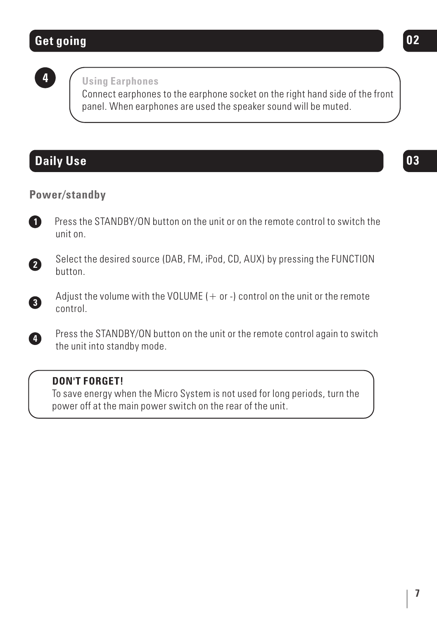# **Get going 02**

**4**

#### **Using Earphones**

Connect earphones to the earphone socket on the right hand side of the front panel. When earphones are used the speaker sound will be muted.

# **Daily Use 03**

**3**

**4**

#### **Power/standby**

 Press the STANDBY/ON button on the unit or on the remote control to switch the unit on. **1**



Adjust the volume with the VOLUME  $(+)$  or  $-)$  control on the unit or the remote control.

 Press the STANDBY/ON button on the unit or the remote control again to switch the unit into standby mode.

#### **DON'T FORGET!**

To save energy when the Micro System is not used for long periods, turn the power off at the main power switch on the rear of the unit.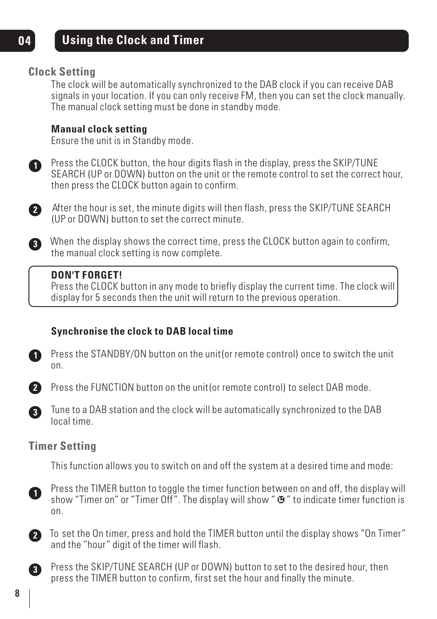# **Using the Clock and Timer**

## **Clock Setting**

The clock will be automatically synchronized to the DAB clock if you can receive DAB signals in your location. If you can only receive FM, then you can set the clock manually. The manual clock setting must be done in standby mode.

#### **Manual clock setting**

Ensure the unit is in Standby mode.

**1**

**04**

Press the CLOCK button, the hour digits flash in the display, press the SKIP/TUNE SEARCH (UP or DOWN) button on the unit or the remote control to set the correct hour, then press the CLOCK button again to confirm.



After the hour is set, the minute digits will then flash, press the SKIP/TUNE SEARCH **2** (UP or DOWN) button to set the correct minute.

When the display shows the correct time, press the CLOCK button again to confirm, **3** the manual clock setting is now complete.

#### **DON'T FORGET!**

Press the CLOCK button in any mode to briefly display the current time. The clock will display for 5 seconds then the unit will return to the previous operation.

## **Synchronise the clock to DAB local time**



Press the STANDBY/ON button on the unit(or remote control) once to switch the unit on.



Press the FUNCTION button on the unit(or remote control) to select DAB mode.



Tune to a DAB station and the clock will be automatically synchronized to the DAB local time.

## **Timer Setting**

This function allows you to switch on and off the system at a desired time and mode:



Press the TIMER button to toggle the timer function between on and off, the display will show "Timer on" or "Timer Off". The display will show "  $\bullet$ " to indicate timer function is on.



To set the On timer, press and hold the TIMER button until the display shows "On Timer" and the "hour" digit of the timer will flash.



Press the SKIP/TUNE SEARCH (UP or DOWN) button to set to the desired hour, then press the TIMER button to confirm, first set the hour and finally the minute.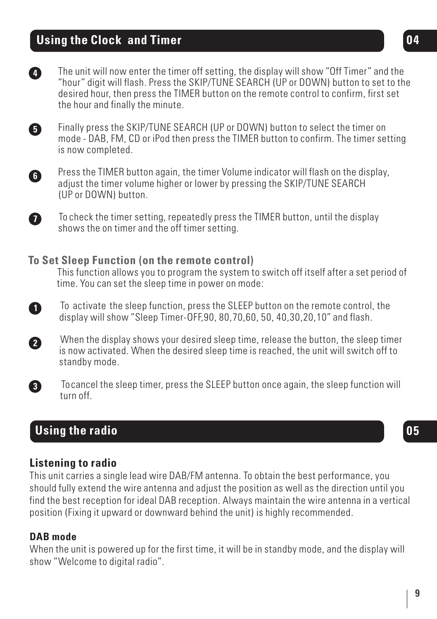# **Using the Clock and Timer**



Finally press the SKIP/TUNE SEARCH (UP or DOWN) button to select the timer on mode - DAB, FM, CD or iPod then press the TIMER button to confirm. The timer setting is now completed.



To check the timer setting, repeatedly press the TIMER button, until the display shows the on timer and the off timer setting.

#### **To Set Sleep Function (on the remote control)**

This function allows you to program the system to switch off itself after a set period of time. You can set the sleep time in power on mode:

 To activate the sleep function, press the SLEEP button on the remote control, the display will show "Sleep Timer-OFF,90, 80,70,60, 50, 40,30,20,10" and flash.

 When the display shows your desired sleep time, release the button, the sleep timer is now activated. When the desired sleep time is reached, the unit will switch off to standby mode.

 To cancel the sleep timer, press the SLEEP button once again, the sleep function will turn off.

## **Using the radio 05**

#### **Listening to radio**

This unit carries a single lead wire DAB/FM antenna. To obtain the best performance, you should fully extend the wire antenna and adjust the position as well as the direction until you find the best reception for ideal DAB reception. Always maintain the wire antenna in a vertical position (Fixing it upward or downward behind the unit) is highly recommended.

#### **DAB mode**

**1**

**7**

**5**

**2**

**3**

When the unit is powered up for the first time, it will be in standby mode, and the display will show "Welcome to digital radio".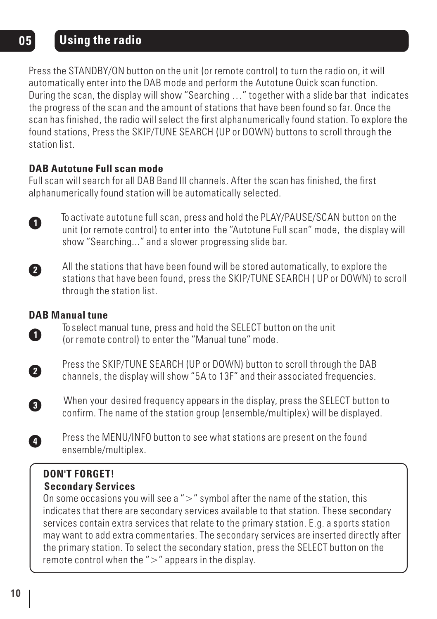# **05 Using the radio**

Press the STANDBY/ON button on the unit (or remote control) to turn the radio on, it will automatically enter into the DAB mode and perform the Autotune Quick scan function. During the scan, the display will show "Searching …" together with a slide bar that indicates the progress of the scan and the amount of stations that have been found so far. Once the scan has finished, the radio will select the first alphanumerically found station. To explore the found stations, Press the SKIP/TUNE SEARCH (UP or DOWN) buttons to scroll through the station list.

#### **DAB Autotune Full scan mode**

Full scan will search for all DAB Band III channels. After the scan has finished, the first alphanumerically found station will be automatically selected.



 To activate autotune full scan, press and hold the PLAY/PAUSE/SCAN button on the unit (or remote control) to enter into the "Autotune Full scan" mode, the display will show "Searching..." and a slower progressing slide bar.



 All the stations that have been found will be stored automatically, to explore the stations that have been found, press the SKIP/TUNE SEARCH ( UP or DOWN) to scroll through the station list.

#### **DAB Manual tune**

 To select manual tune, press and hold the SELECT button on the unit (or remote control) to enter the "Manual tune" mode.



**1**

 Press the SKIP/TUNE SEARCH (UP or DOWN) button to scroll through the DAB channels, the display will show "5A to 13F" and their associated frequencies.



**4**

 When your desired frequency appears in the display, press the SELECT button to confirm. The name of the station group (ensemble/multiplex) will be displayed.



#### **Secondary Services DON'T FORGET!**

On some occasions you will see a " $>$ " symbol after the name of the station, this indicates that there are secondary services available to that station. These secondary services contain extra services that relate to the primary station. E.g. a sports station may want to add extra commentaries. The secondary services are inserted directly after the primary station. To select the secondary station, press the SELECT button on the remote control when the ">" appears in the display.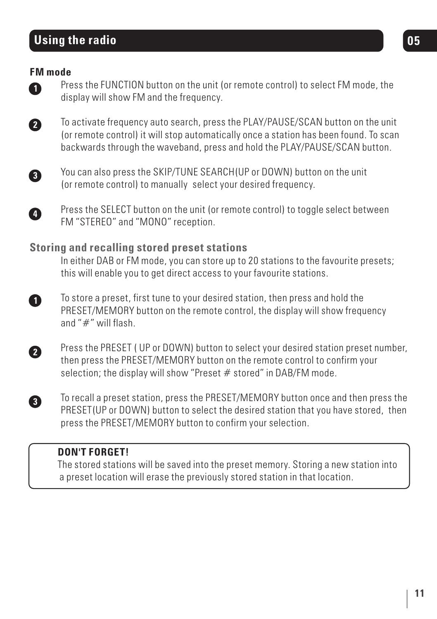# **Using the radio**

#### **FM mode**

 Press the FUNCTION button on the unit (or remote control) to select FM mode, the display will show FM and the frequency.

**2**

**1**

 To activate frequency auto search, press the PLAY/PAUSE/SCAN button on the unit (or remote control) it will stop automatically once a station has been found. To scan backwards through the waveband, press and hold the PLAY/PAUSE/SCAN button.



**4**

**3**

j

 You can also press the SKIP/TUNE SEARCH(UP or DOWN) button on the unit (or remote control) to manually select your desired frequency.

Press the SELECT button on the unit (or remote control) to toggle select between FM "STEREO" and "MONO" reception.

#### **Storing and recalling stored preset stations**

 In either DAB or FM mode, you can store up to 20 stations to the favourite presets; this will enable you to get direct access to your favourite stations.

 To store a preset, first tune to your desired station, then press and hold the PRESET/MEMORY button on the remote control, the display will show frequency and "#" will flash. **1**

 Press the PRESET ( UP or DOWN) button to select your desired station preset number, then press the PRESET/MEMORY button on the remote control to confirm your selection; the display will show "Preset  $#$  stored" in DAB/FM mode. **2**

 To recall a preset station, press the PRESET/MEMORY button once and then press the PRESET(UP or DOWN) button to select the desired station that you have stored, then press the PRESET/MEMORY button to confirm your selection.

#### **DON'T FORGET!**

The stored stations will be saved into the preset memory. Storing a new station into a preset location will erase the previously stored station in that location.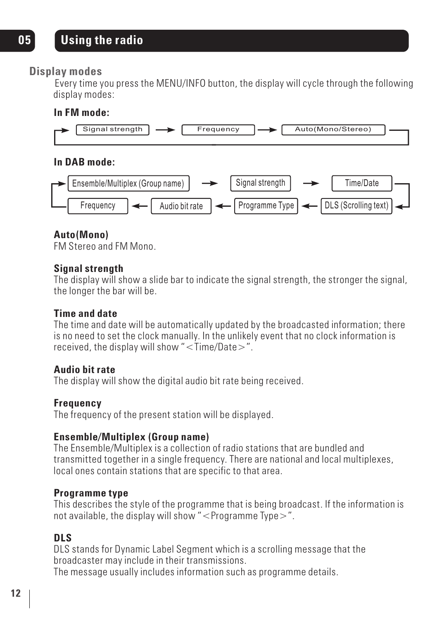#### **Display modes**

Every time you press the MENU/INFO button, the display will cycle through the following display modes:

#### **In FM mode:**



#### **In DAB mode:**



### **Auto(Mono)**

FM Stereo and FM Mono.

#### **Signal strength**

The display will show a slide bar to indicate the signal strength, the stronger the signal, the longer the bar will be.

#### **Time and date**

The time and date will be automatically updated by the broadcasted information; there is no need to set the clock manually. In the unlikely event that no clock information is received, the display will show " $\langle$ Time/Date $\rangle$ ".

#### **Audio bit rate**

The display will show the digital audio bit rate being received.

#### **Frequency**

The frequency of the present station will be displayed.

#### **Ensemble/Multiplex (Group name)**

The Ensemble/Multiplex is a collection of radio stations that are bundled and transmitted together in a single frequency. There are national and local multiplexes, local ones contain stations that are specific to that area.

#### **Programme type**

This describes the style of the programme that is being broadcast. If the information is not available, the display will show "<Programme Type>".

## **DLS**

DLS stands for Dynamic Label Segment which is a scrolling message that the broadcaster may include in their transmissions.

The message usually includes information such as programme details.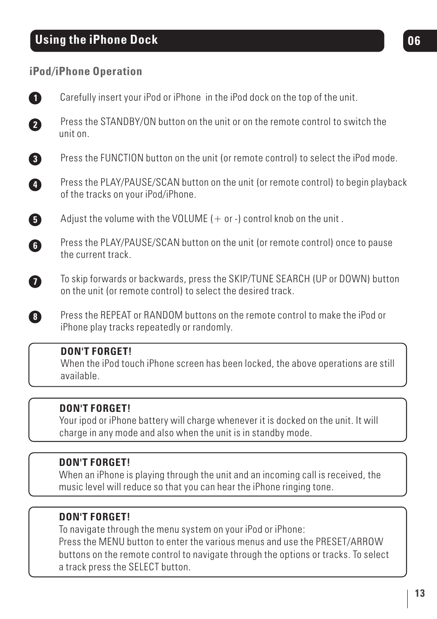# **Using the iPhone Dock 06**

## **iPod/iPhone Operation**

|                | <b>DON'T FORGET!</b><br>When the iPod touch iPhone screen has been locked the above operations are still                                      |
|----------------|-----------------------------------------------------------------------------------------------------------------------------------------------|
| 8              | Press the REPEAT or RANDOM buttons on the remote control to make the iPod or<br>iPhone play tracks repeatedly or randomly.                    |
|                | To skip forwards or backwards, press the SKIP/TUNE SEARCH (UP or DOWN) button<br>on the unit (or remote control) to select the desired track. |
| G              | Press the PLAY/PAUSE/SCAN button on the unit (or remote control) once to pause<br>the current track.                                          |
| 6              | Adjust the volume with the VOLUME $(+)$ or $-)$ control knob on the unit.                                                                     |
| Ø              | Press the PLAY/PAUSE/SCAN button on the unit (or remote control) to begin playback<br>of the tracks on your iPod/iPhone.                      |
| 8              | Press the FUNCTION button on the unit (or remote control) to select the iPod mode.                                                            |
| 2              | Press the STANDBY/ON button on the unit or on the remote control to switch the<br>unit on.                                                    |
| $\blacksquare$ | Carefully insert your iPod or iPhone in the iPod dock on the top of the unit.                                                                 |

#### When the iPod touch iPhone screen has been locked, the above operations are still available.

## **DON'T FORGET!**

 $\overline{\phantom{a}}$ 

Your ipod or iPhone battery will charge whenever it is docked on the unit. It will charge in any mode and also when the unit is in standby mode.

## **DON'T FORGET!**

When an iPhone is playing through the unit and an incoming call is received, the music level will reduce so that you can hear the iPhone ringing tone.

## **DON'T FORGET!**

To navigate through the menu system on your iPod or iPhone: Press the MENU button to enter the various menus and use the PRESET/ARROW buttons on the remote control to navigate through the options or tracks. To select a track press the SELECT button.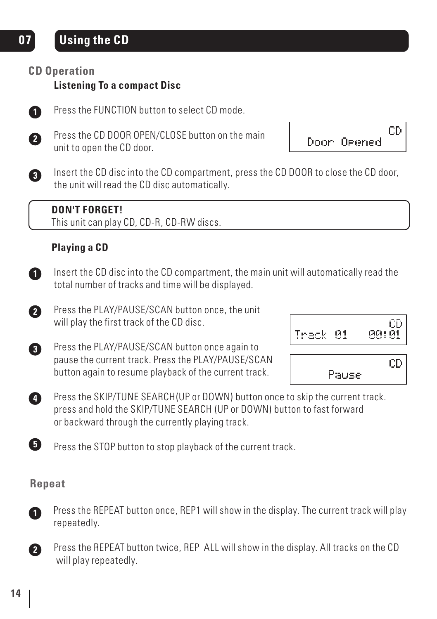## **CD Operation**

## **Listening To a compact Disc**



Press the FUNCTION button to select CD mode.



**3**

 P ress the CD DOOR OPEN/CLOSE button on the main unit to open the CD door.

CD. Door Opened

 Insert the CD disc into the CD compartment, press the CD DOOR to close the CD door, the unit will read the CD disc automatically.



This unit can play CD, CD-R, CD-RW discs.

## **Playing a CD**



 Insert the CD disc into the CD compartment, the main unit will automatically read the total number of tracks and time will be displayed.

 Press the PLAY/PAUSE/SCAN button once, the unit will play the first track of the CD disc. **2**



| Track 01 |       | СD<br><u> 00:01</u> |
|----------|-------|---------------------|
|          | Pause | CD                  |

 Press the SKIP/TUNE SEARCH(UP or DOWN) button once to skip the current track. press and hold the SKIP/TUNE SEARCH (UP or DOWN) button to fast forward or backward through the currently playing track. **4**

Press the STOP button to stop playback of the current track.

#### **Repeat**



**5**

 Press the REPEAT button once, REP1 will show in the display. The current track will play repeatedly.



l,

 Press the REPEAT button twice, REP ALL will show in the display. All tracks on the CD will play repeatedly.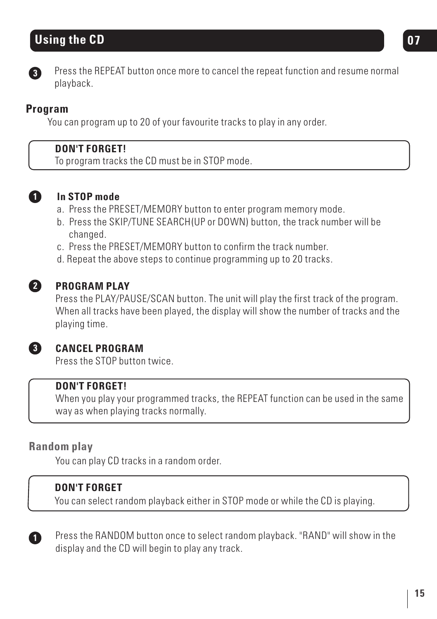# **Using the CD** 07



 Press the REPEAT button once more to cancel the repeat function and resume normal playback.

## **Program**

You can program up to 20 of your favourite tracks to play in any order.

### **DON'T FORGET!**

To program tracks the CD must be in STOP mode.



## **In STOP mode**

- a. Press the PRESET/MEMORY button to enter program memory mode.
- b. Press the SKIP/TUNE SEARCH(UP or DOWN) button, the track number will be changed.
- c. Press the PRESET/MEMORY button to confirm the track number.
- d. Repeat the above steps to continue programming up to 20 tracks.



## **PROGRAM PLAY**

Press the PLAY/PAUSE/SCAN button. The unit will play the first track of the program. When all tracks have been played, the display will show the number of tracks and the playing time.



## **CANCEL PROGRAM**

Press the STOP button twice.

#### **DON'T FORGET!**

When you play your programmed tracks, the REPEAT function can be used in the same way as when playing tracks normally.

## **Random play**

You can play CD tracks in a random order.

## **DON'T FORGET**

You can select random playback either in STOP mode or while the CD is playing.



Press the RANDOM button once to select random playback. "RAND" will show in the display and the CD will begin to play any track.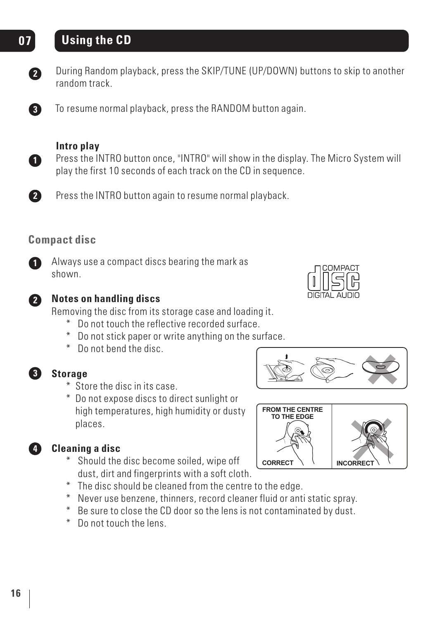# **07 Using the CD**



During Random playback, press the SKIP/TUNE (UP/DOWN) buttons to skip to another random track.



To resume normal playback, press the RANDOM button again.



#### **Intro play**

Press the INTRO button once, "INTRO" will show in the display. The Micro System will play the first 10 seconds of each track on the CD in sequence.



Press the INTRO button again to resume normal playback.

## **Compact disc**



Always use a compact discs bearing the mark as shown.



#### **Notes on handling discs**

Removing the disc from its storage case and loading it.

- \* Do not touch the reflective recorded surface.
- \* Do not stick paper or write anything on the surface.
- \* Do not bend the disc.



## **Storage**

- \* Store the disc in its case.
- \* Do not expose discs to direct sunlight or high temperatures, high humidity or dusty places.



## **Cleaning a disc**

Should the disc become soiled, wipe off dust, dirt and fingerprints with a soft cloth.



COMPACT



- \* The disc should be cleaned from the centre to the edge.
- \* Never use benzene, thinners, record cleaner fluid or anti static spray.
- \* Be sure to close the CD door so the lens is not contaminated by dust.
- \* Do not touch the lens.



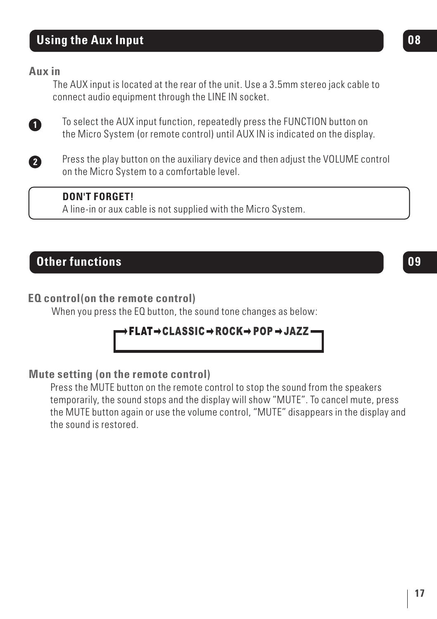# **Using the Aux Input 08**

#### **Aux in**

The AUX input is located at the rear of the unit. Use a 3.5mm stereo jack cable to connect audio equipment through the LINE IN socket.



To select the AUX input function, repeatedly press the FUNCTION button on the Micro System (or remote control) until AUX IN is indicated on the display.



 $\overline{a}$ I Press the play button on the auxiliary device and then adjust the VOLUME control on the Micro System to a comfortable level.

#### **DON'T FORGET!**

A line-in or aux cable is not supplied with the Micro System.

# **Other functions**

### **EQ control(on the remote control)**

When you press the EQ button, the sound tone changes as below:

## → FLAT→CLASSIC → ROCK→ POP → JAZZ -

#### **Mute setting (on the remote control)**

 Press the MUTE button on the remote control to stop the sound from the speakers temporarily, the sound stops and the display will show "MUTE". To cancel mute, press the MUTE button again or use the volume control, "MUTE" disappears in the display and the sound is restored.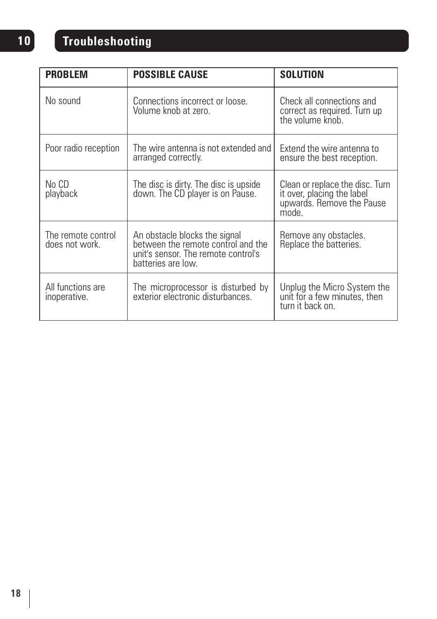# **10 Troubleshooting**

| <b>PROBLEM</b>                       | <b>POSSIBLE CAUSE</b>                                                                                                            | <b>SOLUTION</b>                                                                                     |
|--------------------------------------|----------------------------------------------------------------------------------------------------------------------------------|-----------------------------------------------------------------------------------------------------|
| No sound                             | Connections incorrect or loose.<br>Volume knob at zero.                                                                          | Check all connections and<br>correct as required. Turn up<br>the volume knob                        |
| Poor radio reception                 | The wire antenna is not extended and<br>arranged correctly.                                                                      | Extend the wire antenna to<br>ensure the best reception.                                            |
| No CD<br>playback                    | The disc is dirty. The disc is upside<br>down. The CD player is on Pause.                                                        | Clean or replace the disc. Turn<br>it over, placing the label<br>upwards. Remove the Pause<br>mode. |
| The remote control<br>does not work. | An obstacle blocks the signal<br>between the remote control and the<br>unit's sensor. The remote control's<br>batteries are low. | Remove any obstacles.<br>Replace the batteries.                                                     |
| All functions are<br>inoperative.    | The microprocessor is disturbed by<br>exterior electronic disturbances.                                                          | Unplug the Micro System the<br>unit for a few minutes, then<br>turn it back on                      |

 $\overline{\phantom{a}}$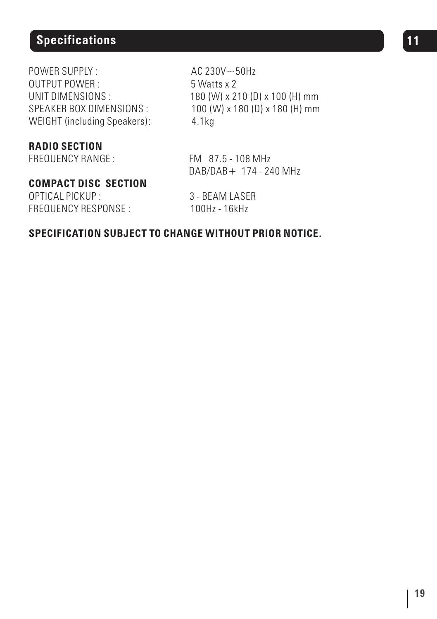# **Specifications 11 11**

POWER SUPPLY :  $AC 230V \sim 50Hz$ OUTPUT POWER : 5 Watts x 2 WEIGHT (including Speakers): 4.1kg

**RADIO SECTION**

## **COMPACT DISC SECTION**

OPTICAL PICKUP : 3 - BEAM LASER FREQUENCY RESPONSE : 100Hz - 16kHz

UNIT DIMENSIONS : 180 (W) x 210 (D) x 100 (H) mm SPEAKER BOX DIMENSIONS : 100 (W) x 180 (D) x 180 (H) mm

FREQUENCY RANGE: FM 87.5 - 108 MHz DAB/DAB+ 174 - 240 MHz

#### **SPECIFICATION SUBJECT TO CHANGE WITHOUT PRIOR NOTICE.**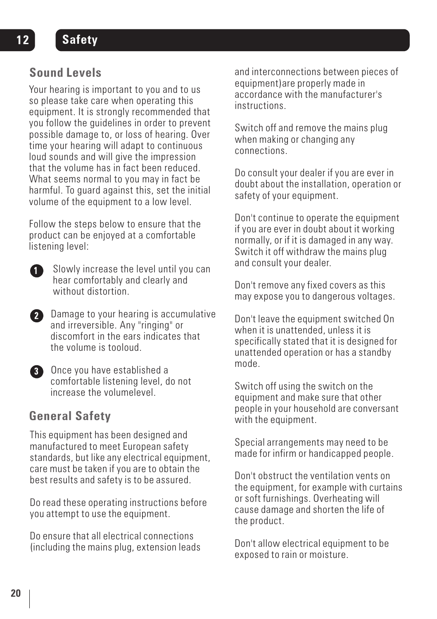# **Sound Levels**

Your hearing is important to you and to us so please take care when operating this equipment. It is strongly recommended that you follow the guidelines in order to prevent possible damage to, or loss of hearing. Over time your hearing will adapt to continuous loud sounds and will give the impression that the volume has in fact been reduced. What seems normal to you may in fact be harmful. To guard against this, set the initial volume of the equipment to a low level.

Follow the steps below to ensure that the product can be enjoyed at a comfortable listening level:

Slowly increase the level until you can hear comfortably and clearly and without distortion

**2** Damage to your hearing is accumulative and irreversible. Any "ringing" or discomfort in the ears indicates that the volume is tooloud.



**B** Once you have established a comfortable listening level, do not increase the volumelevel.

# **General Safety**

This equipment has been designed and manufactured to meet European safety standards, but like any electrical equipment. care must be taken if you are to obtain the best results and safety is to be assured.

Do read these operating instructions before you attempt to use the equipment.

Do ensure that all electrical connections (including the mains plug, extension leads and interconnections between pieces of equipment)are properly made in accordance with the manufacturer's instructions.

Switch off and remove the mains plug when making or changing any connections.

Do consult your dealer if you are ever in doubt about the installation, operation or safety of your equipment.

Don't continue to operate the equipment if you are ever in doubt about it working normally, or if it is damaged in any way. Switch it off withdraw the mains plug and consult your dealer.

Don't remove any fixed covers as this may expose you to dangerous voltages.

Don't leave the equipment switched On when it is unattended, unless it is specifically stated that it is designed for unattended operation or has a standby mode.

Switch off using the switch on the equipment and make sure that other people in your household are conversant with the equipment.

Special arrangements may need to be made for infirm or handicapped people.

Don't obstruct the ventilation vents on the equipment, for example with curtains or soft furnishings. Overheating will cause damage and shorten the life of the product.

Don't allow electrical equipment to be exposed to rain or moisture.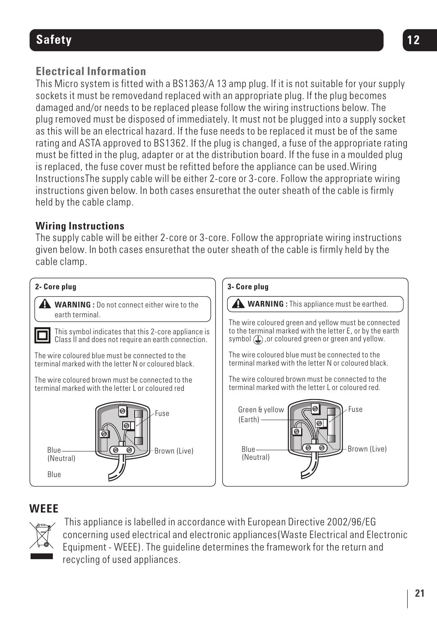# **Safety 12**

# **Electrical Information**

This Micro system is fitted with a BS1363/A 13 amp plug. If it is not suitable for your supply sockets it must be removedand replaced with an appropriate plug. If the plug becomes damaged and/or needs to be replaced please follow the wiring instructions below. The plug removed must be disposed of immediately. It must not be plugged into a supply socket as this will be an electrical hazard. If the fuse needs to be replaced it must be of the same rating and ASTA approved to BS1362. If the plug is changed, a fuse of the appropriate rating must be fitted in the plug, adapter or at the distribution board. If the fuse in a moulded plug is replaced, the fuse cover must be refitted before the appliance can be used.Wiring InstructionsThe supply cable will be either 2-core or 3-core. Follow the appropriate wiring instructions given below. In both cases ensurethat the outer sheath of the cable is firmly held by the cable clamp.

## **Wiring Instructions**

The supply cable will be either 2-core or 3-core. Follow the appropriate wiring instructions given below. In both cases ensurethat the outer sheath of the cable is firmly held by the cable clamp.



# **WEEE**



 This appliance is labelled in accordance with European Directive 2002/96/EG concerning used electrical and electronic appliances(Waste Electrical and Electronic Equipment - WEEE). The guideline determines the framework for the return and recycling of used appliances.